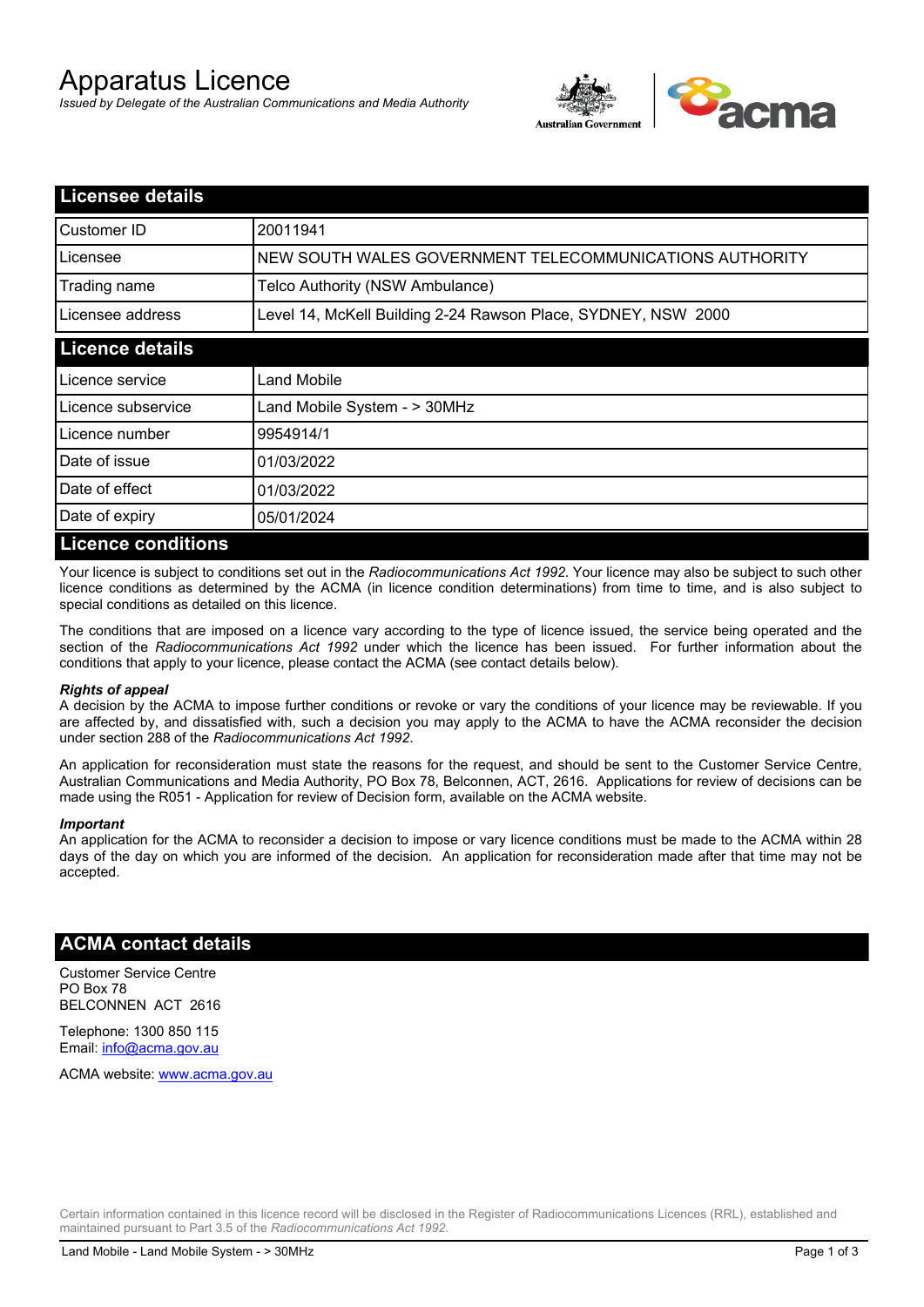# Apparatus Licence

*Issued by Delegate of the Australian Communications and Media Authority*



| <b>Licensee details</b>   |                                                               |  |  |
|---------------------------|---------------------------------------------------------------|--|--|
| Customer ID               | 20011941                                                      |  |  |
| Licensee                  | NEW SOUTH WALES GOVERNMENT TELECOMMUNICATIONS AUTHORITY       |  |  |
| Trading name              | Telco Authority (NSW Ambulance)                               |  |  |
| Licensee address          | Level 14, McKell Building 2-24 Rawson Place, SYDNEY, NSW 2000 |  |  |
| <b>Licence details</b>    |                                                               |  |  |
| Licence service           | Land Mobile                                                   |  |  |
| Licence subservice        | Land Mobile System - > 30MHz                                  |  |  |
| Licence number            | 9954914/1                                                     |  |  |
| Date of issue             | 01/03/2022                                                    |  |  |
| Date of effect            | 01/03/2022                                                    |  |  |
| Date of expiry            | 05/01/2024                                                    |  |  |
| <b>Licence conditions</b> |                                                               |  |  |

Your licence is subject to conditions set out in the *Radiocommunications Act 1992*. Your licence may also be subject to such other licence conditions as determined by the ACMA (in licence condition determinations) from time to time, and is also subject to special conditions as detailed on this licence.

The conditions that are imposed on a licence vary according to the type of licence issued, the service being operated and the section of the *Radiocommunications Act 1992* under which the licence has been issued. For further information about the conditions that apply to your licence, please contact the ACMA (see contact details below).

#### *Rights of appeal*

A decision by the ACMA to impose further conditions or revoke or vary the conditions of your licence may be reviewable. If you are affected by, and dissatisfied with, such a decision you may apply to the ACMA to have the ACMA reconsider the decision under section 288 of the *Radiocommunications Act 1992*.

An application for reconsideration must state the reasons for the request, and should be sent to the Customer Service Centre, Australian Communications and Media Authority, PO Box 78, Belconnen, ACT, 2616. Applications for review of decisions can be made using the R051 - Application for review of Decision form, available on the ACMA website.

#### *Important*

An application for the ACMA to reconsider a decision to impose or vary licence conditions must be made to the ACMA within 28 days of the day on which you are informed of the decision. An application for reconsideration made after that time may not be accepted.

#### **ACMA contact details**

Customer Service Centre PO Box 78 BELCONNEN ACT 2616

Telephone: 1300 850 115 Email: info@acma.gov.au

ACMA website: www.acma.gov.au

Certain information contained in this licence record will be disclosed in the Register of Radiocommunications Licences (RRL), established and maintained pursuant to Part 3.5 of the *Radiocommunications Act 1992.*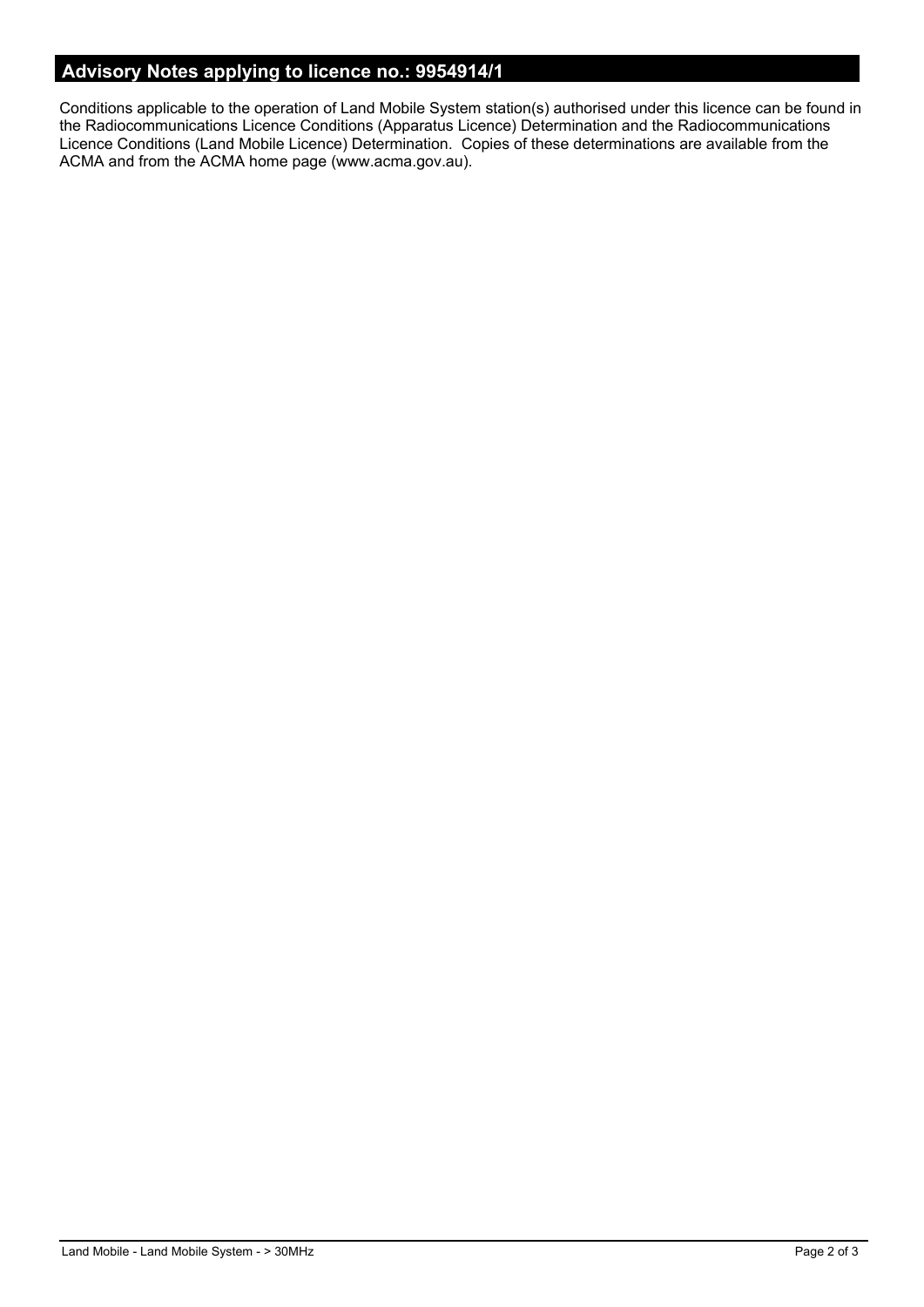## **Advisory Notes applying to licence no.: 9954914/1**

Conditions applicable to the operation of Land Mobile System station(s) authorised under this licence can be found in the Radiocommunications Licence Conditions (Apparatus Licence) Determination and the Radiocommunications Licence Conditions (Land Mobile Licence) Determination. Copies of these determinations are available from the ACMA and from the ACMA home page (www.acma.gov.au).